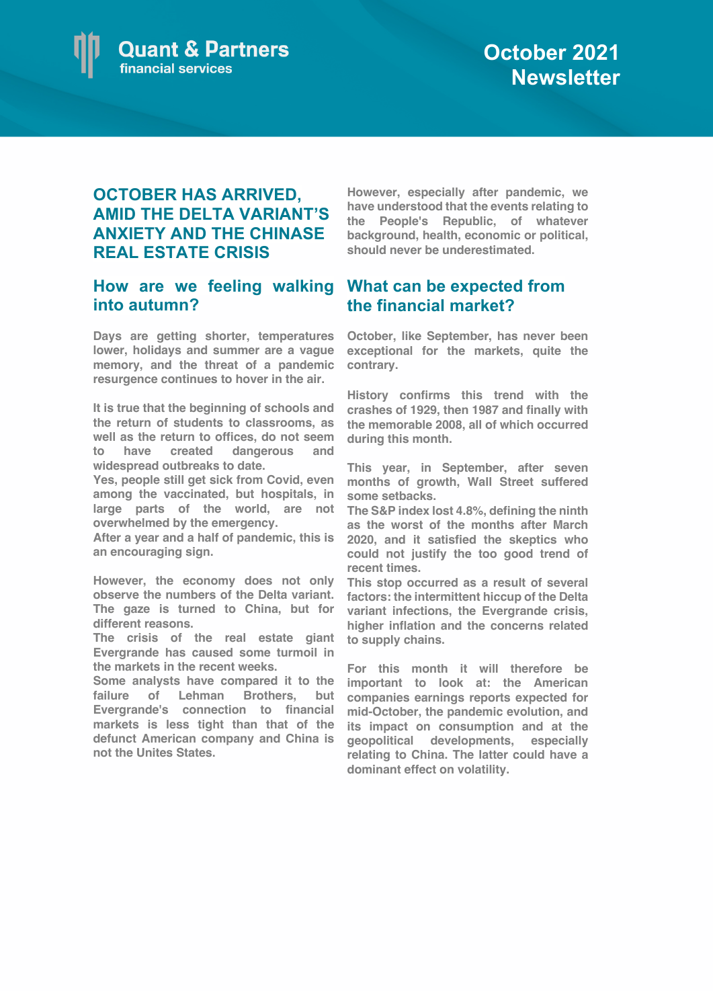

## **OCTOBER HAS ARRIVED, AMID THE DELTA VARIANT'S ANXIETY AND THE CHINASE REAL ESTATE CRISIS**

## **How are we feeling walking What can be expected from into autumn?**

**Days are getting shorter, temperatures lower, holidays and summer are a vague memory, and the threat of a pandemic resurgence continues to hover in the air.**

**It is true that the beginning of schools and the return of students to classrooms, as well as the return to offices, do not seem to have created dangerous and widespread outbreaks to date.**

**Yes, people still get sick from Covid, even among the vaccinated, but hospitals, in large parts of the world, are not overwhelmed by the emergency.** 

**After a year and a half of pandemic, this is an encouraging sign.**

**However, the economy does not only observe the numbers of the Delta variant. The gaze is turned to China, but for different reasons.** 

**The crisis of the real estate giant to supply chains. Evergrande has caused some turmoil in the markets in the recent weeks.** 

**Some analysts have compared it to the failure of Lehman Brothers, but companies earnings reports expected for Evergrande's connection to financial markets is less tight than that of the defunct American company and China is not the Unites States.**

**However, especially after pandemic, we have understood that the events relating to the People's Republic, of whatever background, health, economic or political, should never be underestimated.**

## **the financial market?**

**October, like September, has never been exceptional for the markets, quite the contrary.**

**History confirms this trend with the crashes of 1929, then 1987 and finally with the memorable 2008, all of which occurred during this month.**

**This year, in September, after seven months of growth, Wall Street suffered some setbacks.** 

**The S&P index lost 4.8%, defining the ninth as the worst of the months after March 2020, and it satisfied the skeptics who could not justify the too good trend of recent times.** 

**This stop occurred as a result of several factors: the intermittent hiccup of the Delta variant infections, the Evergrande crisis, higher inflation and the concerns related** 

**For this month it will therefore be important to look at: the American mid-October, the pandemic evolution, and its impact on consumption and at the geopolitical developments, especially relating to China. The latter could have a dominant effect on volatility.**